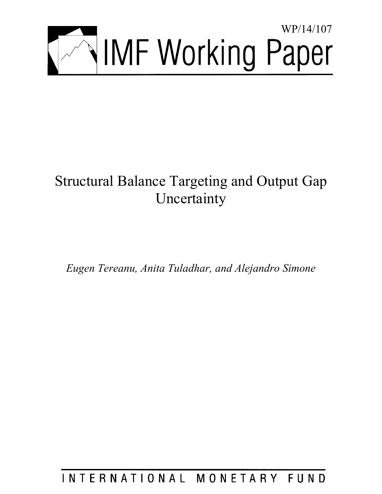

# Structural Balance Targeting and Output Gap Uncertainty

*Eugen Tereanu, Anita Tuladhar, and Alejandro Simone* 

# INTERNATIONAL MONETARY FUND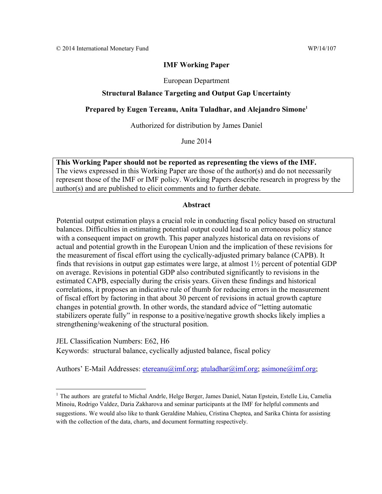#### **IMF Working Paper**

European Department

#### **Structural Balance Targeting and Output Gap Uncertainty**

#### Prepared by Eugen Tereanu, Anita Tuladhar, and Alejandro Simone<sup>1</sup>

Authorized for distribution by James Daniel

June 2014

**This Working Paper should not be reported as representing the views of the IMF.**  The views expressed in this Working Paper are those of the author(s) and do not necessarily represent those of the IMF or IMF policy. Working Papers describe research in progress by the author(s) and are published to elicit comments and to further debate.

#### **Abstract**

Potential output estimation plays a crucial role in conducting fiscal policy based on structural balances. Difficulties in estimating potential output could lead to an erroneous policy stance with a consequent impact on growth. This paper analyzes historical data on revisions of actual and potential growth in the European Union and the implication of these revisions for the measurement of fiscal effort using the cyclically-adjusted primary balance (CAPB). It finds that revisions in output gap estimates were large, at almost 1½ percent of potential GDP on average. Revisions in potential GDP also contributed significantly to revisions in the estimated CAPB, especially during the crisis years. Given these findings and historical correlations, it proposes an indicative rule of thumb for reducing errors in the measurement of fiscal effort by factoring in that about 30 percent of revisions in actual growth capture changes in potential growth. In other words, the standard advice of "letting automatic stabilizers operate fully" in response to a positive/negative growth shocks likely implies a strengthening/weakening of the structural position.

JEL Classification Numbers: E62, H6 Keywords: structural balance, cyclically adjusted balance, fiscal policy

Authors' E-Mail Addresses: etereanu $\omega$ imf.org; atuladhar $\omega$ imf.org; asimone $\omega$ imf.org;

<sup>&</sup>lt;sup>1</sup> The authors are grateful to Michal Andrle, Helge Berger, James Daniel, Natan Epstein, Estelle Liu, Camelia Minoiu, Rodrigo Valdez, Daria Zakharova and seminar participants at the IMF for helpful comments and suggestions. We would also like to thank Geraldine Mahieu, Cristina Cheptea, and Sarika Chinta for assisting with the collection of the data, charts, and document formatting respectively.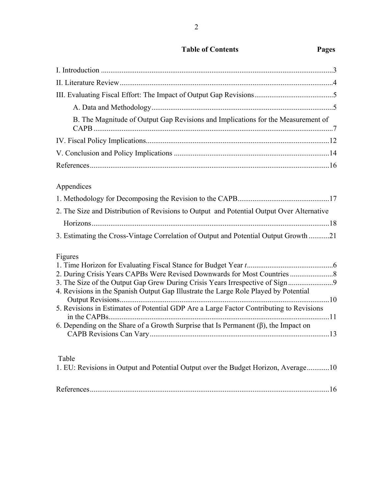| <b>Table of Contents</b> | Pages |
|--------------------------|-------|
|--------------------------|-------|

| B. The Magnitude of Output Gap Revisions and Implications for the Measurement of |  |
|----------------------------------------------------------------------------------|--|
|                                                                                  |  |
|                                                                                  |  |
|                                                                                  |  |

## Appendices

| 2. The Size and Distribution of Revisions to Output and Potential Output Over Alternative |  |
|-------------------------------------------------------------------------------------------|--|
|                                                                                           |  |
| 3. Estimating the Cross-Vintage Correlation of Output and Potential Output Growth 21      |  |
| Figures<br>1 Time Horizon for Evaluating Fiscal Stange for Budget Voor t                  |  |

| 3. The Size of the Output Gap Grew During Crisis Years Irrespective of Sign                |  |
|--------------------------------------------------------------------------------------------|--|
| 4. Revisions in the Spanish Output Gap Illustrate the Large Role Played by Potential       |  |
|                                                                                            |  |
| 5. Revisions in Estimates of Potential GDP Are a Large Factor Contributing to Revisions    |  |
|                                                                                            |  |
| 6. Depending on the Share of a Growth Surprise that Is Permanent $(\beta)$ , the Impact on |  |
|                                                                                            |  |

## Table

| 1. EU: Revisions in Output and Potential Output over the Budget Horizon, Average10 |  |
|------------------------------------------------------------------------------------|--|
|                                                                                    |  |
|                                                                                    |  |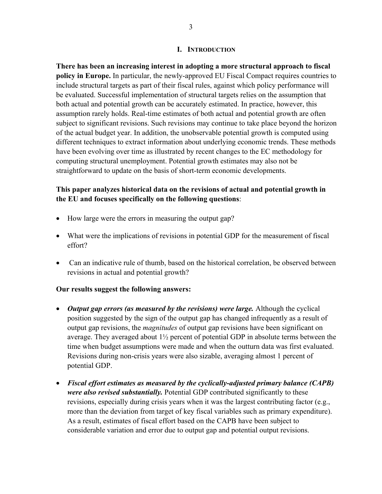## **I. INTRODUCTION**

**There has been an increasing interest in adopting a more structural approach to fiscal policy in Europe.** In particular, the newly-approved EU Fiscal Compact requires countries to include structural targets as part of their fiscal rules, against which policy performance will be evaluated. Successful implementation of structural targets relies on the assumption that both actual and potential growth can be accurately estimated. In practice, however, this assumption rarely holds. Real-time estimates of both actual and potential growth are often subject to significant revisions. Such revisions may continue to take place beyond the horizon of the actual budget year. In addition, the unobservable potential growth is computed using different techniques to extract information about underlying economic trends. These methods have been evolving over time as illustrated by recent changes to the EC methodology for computing structural unemployment. Potential growth estimates may also not be straightforward to update on the basis of short-term economic developments.

## **This paper analyzes historical data on the revisions of actual and potential growth in the EU and focuses specifically on the following questions**:

- How large were the errors in measuring the output gap?
- What were the implications of revisions in potential GDP for the measurement of fiscal effort?
- Can an indicative rule of thumb, based on the historical correlation, be observed between revisions in actual and potential growth?

## **Our results suggest the following answers:**

- *Output gap errors (as measured by the revisions) were large.* Although the cyclical position suggested by the sign of the output gap has changed infrequently as a result of output gap revisions, the *magnitudes* of output gap revisions have been significant on average. They averaged about 1½ percent of potential GDP in absolute terms between the time when budget assumptions were made and when the outturn data was first evaluated. Revisions during non-crisis years were also sizable, averaging almost 1 percent of potential GDP.
- *Fiscal effort estimates as measured by the cyclically-adjusted primary balance (CAPB) were also revised substantially.* Potential GDP contributed significantly to these revisions, especially during crisis years when it was the largest contributing factor (e.g., more than the deviation from target of key fiscal variables such as primary expenditure). As a result, estimates of fiscal effort based on the CAPB have been subject to considerable variation and error due to output gap and potential output revisions.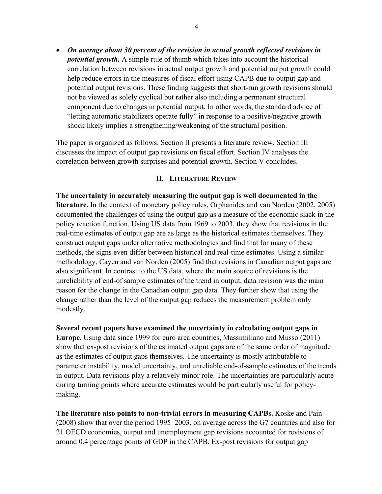*On average about 30 percent of the revision in actual growth reflected revisions in potential growth.* A simple rule of thumb which takes into account the historical correlation between revisions in actual output growth and potential output growth could help reduce errors in the measures of fiscal effort using CAPB due to output gap and potential output revisions. These finding suggests that short-run growth revisions should not be viewed as solely cyclical but rather also including a permanent structural component due to changes in potential output. In other words, the standard advice of "letting automatic stabilizers operate fully" in response to a positive/negative growth shock likely implies a strengthening/weakening of the structural position.

The paper is organized as follows. Section II presents a literature review. Section III discusses the impact of output gap revisions on fiscal effort. Section IV analyses the correlation between growth surprises and potential growth. Section V concludes.

#### **II. LITERATURE REVIEW**

**The uncertainty in accurately measuring the output gap is well documented in the literature.** In the context of monetary policy rules, Orphanides and van Norden (2002, 2005) documented the challenges of using the output gap as a measure of the economic slack in the policy reaction function. Using US data from 1969 to 2003, they show that revisions in the real-time estimates of output gap are as large as the historical estimates themselves. They construct output gaps under alternative methodologies and find that for many of these methods, the signs even differ between historical and real-time estimates. Using a similar methodology, Cayen and van Norden (2005) find that revisions in Canadian output gaps are also significant. In contrast to the US data, where the main source of revisions is the unreliability of end-of sample estimates of the trend in output, data revision was the main reason for the change in the Canadian output gap data. They further show that using the change rather than the level of the output gap reduces the measurement problem only modestly.

**Several recent papers have examined the uncertainty in calculating output gaps in** 

**Europe.** Using data since 1999 for euro area countries, Massimiliano and Musso (2011) show that ex-post revisions of the estimated output gaps are of the same order of magnitude as the estimates of output gaps themselves. The uncertainty is mostly attributable to parameter instability, model uncertainty, and unreliable end-of-sample estimates of the trends in output. Data revisions play a relatively minor role. The uncertainties are particularly acute during turning points where accurate estimates would be particularly useful for policymaking.

**The literature also points to non-trivial errors in measuring CAPBs.** Koske and Pain (2008) show that over the period 1995–2003, on average across the G7 countries and also for 21 OECD economies, output and unemployment gap revisions accounted for revisions of around 0.4 percentage points of GDP in the CAPB. Ex-post revisions for output gap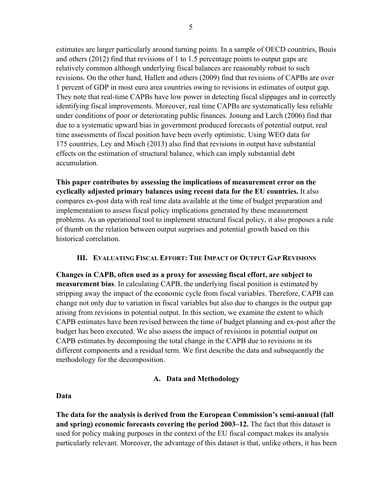estimates are larger particularly around turning points. In a sample of OECD countries, Bouis and others (2012) find that revisions of 1 to 1.5 percentage points to output gaps are relatively common although underlying fiscal balances are reasonably robust to such revisions. On the other hand, Hallett and others (2009) find that revisions of CAPBs are over 1 percent of GDP in most euro area countries owing to revisions in estimates of output gap. They note that real-time CAPBs have low power in detecting fiscal slippages and in correctly identifying fiscal improvements. Moreover, real time CAPBs are systematically less reliable under conditions of poor or deteriorating public finances. Jonung and Larch (2006) find that due to a systematic upward bias in government produced forecasts of potential output, real time assessments of fiscal position have been overly optimistic. Using WEO data for 175 countries, Ley and Misch (2013) also find that revisions in output have substantial effects on the estimation of structural balance, which can imply substantial debt accumulation.

**This paper contributes by assessing the implications of measurement error on the cyclically adjusted primary balances using recent data for the EU countries.** It also compares ex-post data with real time data available at the time of budget preparation and implementation to assess fiscal policy implications generated by these measurement problems. As an operational tool to implement structural fiscal policy, it also proposes a rule of thumb on the relation between output surprises and potential growth based on this historical correlation.

## **III. EVALUATING FISCAL EFFORT: THE IMPACT OF OUTPUT GAP REVISIONS**

**Changes in CAPB, often used as a proxy for assessing fiscal effort, are subject to measurement bias**. In calculating CAPB, the underlying fiscal position is estimated by stripping away the impact of the economic cycle from fiscal variables. Therefore, CAPB can change not only due to variation in fiscal variables but also due to changes in the output gap arising from revisions in potential output. In this section, we examine the extent to which CAPB estimates have been revised between the time of budget planning and ex-post after the budget has been executed. We also assess the impact of revisions in potential output on CAPB estimates by decomposing the total change in the CAPB due to revisions in its different components and a residual term. We first describe the data and subsequently the methodology for the decomposition.

## **A. Data and Methodology**

## **Data**

**The data for the analysis is derived from the European Commission's semi-annual (fall and spring) economic forecasts covering the period 2003–12.** The fact that this dataset is used for policy making purposes in the context of the EU fiscal compact makes its analysis particularly relevant. Moreover, the advantage of this dataset is that, unlike others, it has been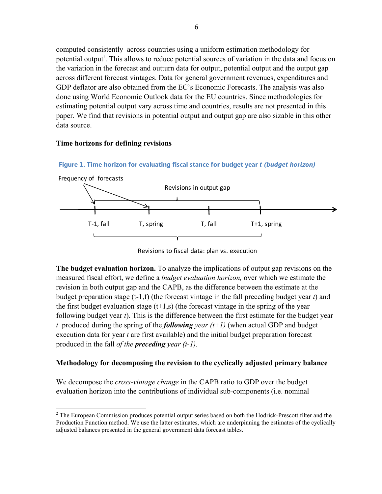computed consistently across countries using a uniform estimation methodology for potential output<sup>2</sup>. This allows to reduce potential sources of variation in the data and focus on the variation in the forecast and outturn data for output, potential output and the output gap across different forecast vintages. Data for general government revenues, expenditures and GDP deflator are also obtained from the EC's Economic Forecasts. The analysis was also done using World Economic Outlook data for the EU countries. Since methodologies for estimating potential output vary across time and countries, results are not presented in this paper. We find that revisions in potential output and output gap are also sizable in this other data source.

#### **Time horizons for defining revisions**

 $\overline{a}$ 



**Figure 1. Time horizon for evaluating fiscal stance for budget year** *t (budget horizon)*

Revisions to fiscal data: plan vs. execution

**The budget evaluation horizon.** To analyze the implications of output gap revisions on the measured fiscal effort, we define a *budget evaluation horizon,* over which we estimate the revision in both output gap and the CAPB, as the difference between the estimate at the budget preparation stage (t-1,f) (the forecast vintage in the fall preceding budget year *t*) and the first budget evaluation stage  $(t+1,s)$  (the forecast vintage in the spring of the year following budget year *t*). This is the difference between the first estimate for the budget year *t* produced during the spring of the *following year (t+1)* (when actual GDP and budget execution data for year *t* are first available) and the initial budget preparation forecast produced in the fall *of the preceding year (t-1).*

## **Methodology for decomposing the revision to the cyclically adjusted primary balance**

We decompose the *cross-vintage change* in the CAPB ratio to GDP over the budget evaluation horizon into the contributions of individual sub-components (i.e. nominal

 $2^2$  The European Commission produces potential output series based on both the Hodrick-Prescott filter and the Production Function method. We use the latter estimates, which are underpinning the estimates of the cyclically adjusted balances presented in the general government data forecast tables.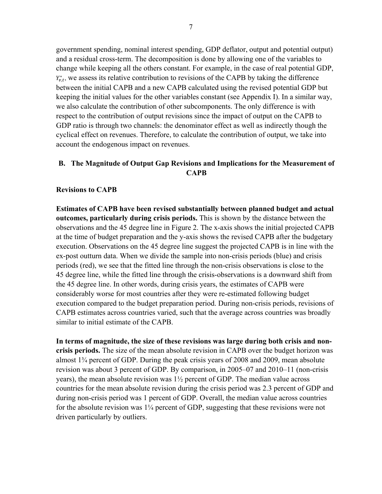government spending, nominal interest spending, GDP deflator, output and potential output) and a residual cross-term. The decomposition is done by allowing one of the variables to change while keeping all the others constant. For example, in the case of real potential GDP,  $Y_{v,t}^*$ , we assess its relative contribution to revisions of the CAPB by taking the difference between the initial CAPB and a new CAPB calculated using the revised potential GDP but keeping the initial values for the other variables constant (see Appendix I). In a similar way, we also calculate the contribution of other subcomponents. The only difference is with respect to the contribution of output revisions since the impact of output on the CAPB to GDP ratio is through two channels: the denominator effect as well as indirectly though the cyclical effect on revenues. Therefore, to calculate the contribution of output, we take into account the endogenous impact on revenues.

## **B. The Magnitude of Output Gap Revisions and Implications for the Measurement of CAPB**

#### **Revisions to CAPB**

**Estimates of CAPB have been revised substantially between planned budget and actual outcomes, particularly during crisis periods.** This is shown by the distance between the observations and the 45 degree line in Figure 2. The x-axis shows the initial projected CAPB at the time of budget preparation and the y-axis shows the revised CAPB after the budgetary execution. Observations on the 45 degree line suggest the projected CAPB is in line with the ex-post outturn data. When we divide the sample into non-crisis periods (blue) and crisis periods (red), we see that the fitted line through the non-crisis observations is close to the 45 degree line, while the fitted line through the crisis-observations is a downward shift from the 45 degree line. In other words, during crisis years, the estimates of CAPB were considerably worse for most countries after they were re-estimated following budget execution compared to the budget preparation period. During non-crisis periods, revisions of CAPB estimates across countries varied, such that the average across countries was broadly similar to initial estimate of the CAPB.

**In terms of magnitude, the size of these revisions was large during both crisis and noncrisis periods.** The size of the mean absolute revision in CAPB over the budget horizon was almost 1¾ percent of GDP. During the peak crisis years of 2008 and 2009, mean absolute revision was about 3 percent of GDP. By comparison, in 2005–07 and 2010–11 (non-crisis years), the mean absolute revision was 1½ percent of GDP. The median value across countries for the mean absolute revision during the crisis period was 2.3 percent of GDP and during non-crisis period was 1 percent of GDP. Overall, the median value across countries for the absolute revision was  $1\frac{1}{4}$  percent of GDP, suggesting that these revisions were not driven particularly by outliers.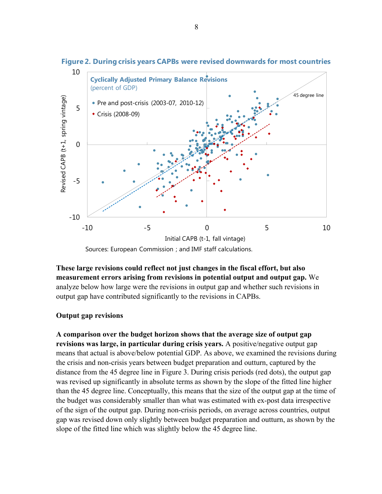

**Figure 2. During crisis years CAPBs were revised downwards for most countries** 

Sources: European Commission ; and IMF staff calculations.

**These large revisions could reflect not just changes in the fiscal effort, but also measurement errors arising from revisions in potential output and output gap.** We analyze below how large were the revisions in output gap and whether such revisions in output gap have contributed significantly to the revisions in CAPBs.

## **Output gap revisions**

**A comparison over the budget horizon shows that the average size of output gap revisions was large, in particular during crisis years.** A positive/negative output gap means that actual is above/below potential GDP. As above, we examined the revisions during the crisis and non-crisis years between budget preparation and outturn, captured by the distance from the 45 degree line in Figure 3. During crisis periods (red dots), the output gap was revised up significantly in absolute terms as shown by the slope of the fitted line higher than the 45 degree line. Conceptually, this means that the size of the output gap at the time of the budget was considerably smaller than what was estimated with ex-post data irrespective of the sign of the output gap. During non-crisis periods, on average across countries, output gap was revised down only slightly between budget preparation and outturn, as shown by the slope of the fitted line which was slightly below the 45 degree line.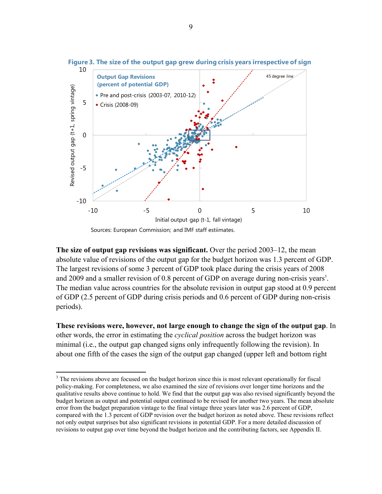

**Figure 3. The size of the output gap grew during crisis years irrespective of sign**

**The size of output gap revisions was significant.** Over the period 2003–12, the mean absolute value of revisions of the output gap for the budget horizon was 1.3 percent of GDP. The largest revisions of some 3 percent of GDP took place during the crisis years of 2008 and 2009 and a smaller revision of 0.8 percent of GDP on average during non-crisis years<sup>3</sup>. The median value across countries for the absolute revision in output gap stood at 0.9 percent of GDP (2.5 percent of GDP during crisis periods and 0.6 percent of GDP during non-crisis periods).

**These revisions were, however, not large enough to change the sign of the output gap**. In other words, the error in estimating the *cyclical position* across the budget horizon was minimal (i.e., the output gap changed signs only infrequently following the revision). In about one fifth of the cases the sign of the output gap changed (upper left and bottom right

1

<sup>&</sup>lt;sup>3</sup> The revisions above are focused on the budget horizon since this is most relevant operationally for fiscal policy-making. For completeness, we also examined the size of revisions over longer time horizons and the qualitative results above continue to hold. We find that the output gap was also revised significantly beyond the budget horizon as output and potential output continued to be revised for another two years. The mean absolute error from the budget preparation vintage to the final vintage three years later was 2.6 percent of GDP, compared with the 1.3 percent of GDP revision over the budget horizon as noted above. These revisions reflect not only output surprises but also significant revisions in potential GDP. For a more detailed discussion of revisions to output gap over time beyond the budget horizon and the contributing factors, see Appendix II.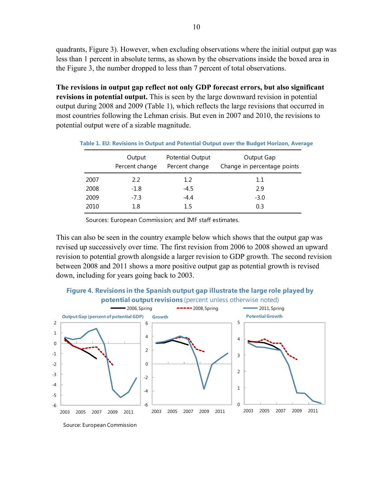quadrants, Figure 3). However, when excluding observations where the initial output gap was less than 1 percent in absolute terms, as shown by the observations inside the boxed area in the Figure 3, the number dropped to less than 7 percent of total observations.

**The revisions in output gap reflect not only GDP forecast errors, but also significant revisions in potential output.** This is seen by the large downward revision in potential output during 2008 and 2009 (Table 1), which reflects the large revisions that occurred in most countries following the Lehman crisis. But even in 2007 and 2010, the revisions to potential output were of a sizable magnitude.

|      | Output<br>Percent change | Potential Output<br>Percent change | Output Gap<br>Change in percentage points |
|------|--------------------------|------------------------------------|-------------------------------------------|
| 2007 | 2.2                      | 1.2                                | 1.1                                       |
| 2008 | $-1.8$                   | $-4.5$                             | 2.9                                       |
| 2009 | $-7.3$                   | $-4.4$                             | $-3.0$                                    |
| 2010 | 1.8                      | 1.5                                | 0.3                                       |

**Table 1. EU: Revisions in Output and Potential Output over the Budget Horizon, Average** 

Sources: European Commission; and IMF staff estimates.

This can also be seen in the country example below which shows that the output gap was revised up successively over time. The first revision from 2006 to 2008 showed an upward revision to potential growth alongside a larger revision to GDP growth. The second revision between 2008 and 2011 shows a more positive output gap as potential growth is revised down, including for years going back to 2003.



Source: European Commission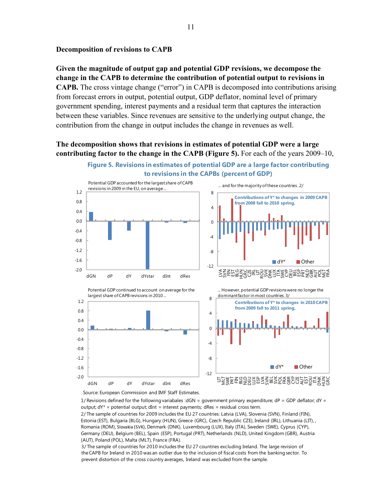#### **Decomposition of revisions to CAPB**

**Given the magnitude of output gap and potential GDP revisions, we decompose the change in the CAPB to determine the contribution of potential output to revisions in CAPB.** The cross vintage change ("error") in CAPB is decomposed into contributions arising from forecast errors in output, potential output, GDP deflator, nominal level of primary government spending, interest payments and a residual term that captures the interaction between these variables. Since revenues are sensitive to the underlying output change, the contribution from the change in output includes the change in revenues as well.

**The decomposition shows that revisions in estimates of potential GDP were a large contributing factor to the change in the CAPB (Figure 5).** For each of the years 2009–10,





Source: European Commission and IMF Staff Estimates.

1/ Revisions defined for the following variabales :dGN = government primary expenditure;  $dP = GDP$  deflator;  $dY =$ output;  $dY^*$  = potential output;  $dInt$  = interest payments;  $dRes$  = residual cross term.

2/ The sample of countries for 2009 includes the EU 27 countries: Latvia (LVA), Slovenia (SVN), Finland (FIN), Estonia (EST), Bulgaria (BLG), Hungary (HUN), Greece (GRC), Czech Republic CZE), Ireland (IRL), Lithuania (LIT), , Romania (ROM), Slovakia (SVK), Denmark (DNK), Luxembourg (LUX), Italy (ITA), Sweden (SWE), Cyprus (CYP), Germany (DEU), Belgium (BEL), Spain (ESP), Portugal (PRT), Netherlands (NLD), United Kingdom (GBR), Austria (AUT), Poland (POL), Malta (MLT), France (FRA).

3/ The sample of countries for 2010 includes the EU 27 countries excluding Ireland. The large revision of the CAPB for Ireland in 2010 was an outlier due to the inclusion of fiscal costs from the banking sector. To prevent distortion of the cross country averages, Ireland was excluded from the sample.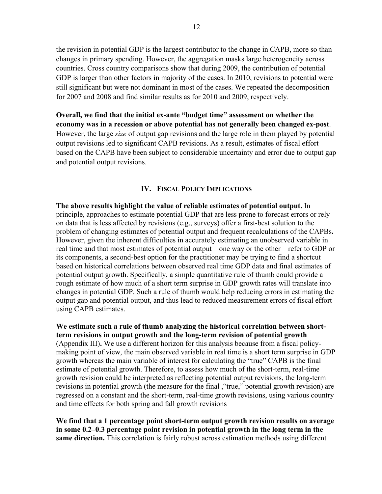the revision in potential GDP is the largest contributor to the change in CAPB, more so than changes in primary spending. However, the aggregation masks large heterogeneity across countries. Cross country comparisons show that during 2009, the contribution of potential GDP is larger than other factors in majority of the cases. In 2010, revisions to potential were still significant but were not dominant in most of the cases. We repeated the decomposition for 2007 and 2008 and find similar results as for 2010 and 2009, respectively.

**Overall, we find that the initial ex-ante "budget time" assessment on whether the economy was in a recession or above potential has not generally been changed ex-post**. However, the large *size* of output gap revisions and the large role in them played by potential output revisions led to significant CAPB revisions. As a result, estimates of fiscal effort based on the CAPB have been subject to considerable uncertainty and error due to output gap and potential output revisions.

#### **IV. FISCAL POLICY IMPLICATIONS**

**The above results highlight the value of reliable estimates of potential output.** In principle, approaches to estimate potential GDP that are less prone to forecast errors or rely on data that is less affected by revisions (e.g., surveys) offer a first-best solution to the problem of changing estimates of potential output and frequent recalculations of the CAPBs**.**  However, given the inherent difficulties in accurately estimating an unobserved variable in real time and that most estimates of potential output—one way or the other—refer to GDP or its components, a second-best option for the practitioner may be trying to find a shortcut based on historical correlations between observed real time GDP data and final estimates of potential output growth. Specifically, a simple quantitative rule of thumb could provide a rough estimate of how much of a short term surprise in GDP growth rates will translate into changes in potential GDP. Such a rule of thumb would help reducing errors in estimating the output gap and potential output, and thus lead to reduced measurement errors of fiscal effort using CAPB estimates.

**We estimate such a rule of thumb analyzing the historical correlation between shortterm revisions in output growth and the long-term revision of potential growth**  (Appendix III)**.** We use a different horizon for this analysis because from a fiscal policymaking point of view, the main observed variable in real time is a short term surprise in GDP growth whereas the main variable of interest for calculating the "true" CAPB is the final estimate of potential growth. Therefore, to assess how much of the short-term, real-time growth revision could be interpreted as reflecting potential output revisions, the long-term revisions in potential growth (the measure for the final , "true," potential growth revision) are regressed on a constant and the short-term, real-time growth revisions, using various country and time effects for both spring and fall growth revisions

**We find that a 1 percentage point short-term output growth revision results on average in some 0.2–0.3 percentage point revision in potential growth in the long term in the same direction.** This correlation is fairly robust across estimation methods using different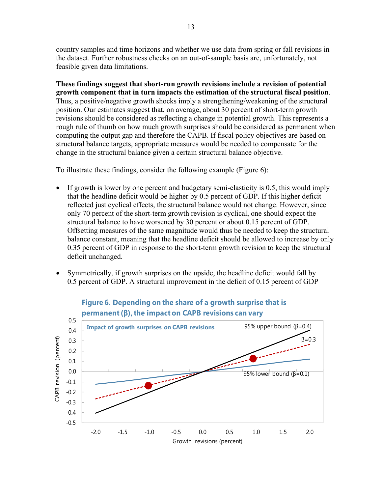country samples and time horizons and whether we use data from spring or fall revisions in the dataset. Further robustness checks on an out-of-sample basis are, unfortunately, not feasible given data limitations.

**These findings suggest that short-run growth revisions include a revision of potential growth component that in turn impacts the estimation of the structural fiscal position**. Thus, a positive/negative growth shocks imply a strengthening/weakening of the structural position. Our estimates suggest that, on average, about 30 percent of short-term growth revisions should be considered as reflecting a change in potential growth. This represents a rough rule of thumb on how much growth surprises should be considered as permanent when computing the output gap and therefore the CAPB. If fiscal policy objectives are based on structural balance targets, appropriate measures would be needed to compensate for the change in the structural balance given a certain structural balance objective.

To illustrate these findings, consider the following example (Figure 6):

- If growth is lower by one percent and budgetary semi-elasticity is  $0.5$ , this would imply that the headline deficit would be higher by 0.5 percent of GDP. If this higher deficit reflected just cyclical effects, the structural balance would not change. However, since only 70 percent of the short-term growth revision is cyclical, one should expect the structural balance to have worsened by 30 percent or about 0.15 percent of GDP. Offsetting measures of the same magnitude would thus be needed to keep the structural balance constant, meaning that the headline deficit should be allowed to increase by only 0.35 percent of GDP in response to the short-term growth revision to keep the structural deficit unchanged.
- Symmetrically, if growth surprises on the upside, the headline deficit would fall by 0.5 percent of GDP. A structural improvement in the deficit of 0.15 percent of GDP



# **Figure 6. Depending on the share of a growth surprise that is**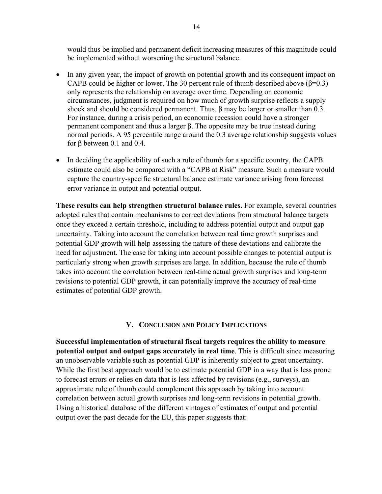would thus be implied and permanent deficit increasing measures of this magnitude could be implemented without worsening the structural balance.

- In any given year, the impact of growth on potential growth and its consequent impact on CAPB could be higher or lower. The 30 percent rule of thumb described above  $(\beta=0.3)$ only represents the relationship on average over time. Depending on economic circumstances, judgment is required on how much of growth surprise reflects a supply shock and should be considered permanent. Thus,  $\beta$  may be larger or smaller than 0.3. For instance, during a crisis period, an economic recession could have a stronger permanent component and thus a larger β. The opposite may be true instead during normal periods. A 95 percentile range around the 0.3 average relationship suggests values for β between 0.1 and 0.4.
- In deciding the applicability of such a rule of thumb for a specific country, the CAPB estimate could also be compared with a "CAPB at Risk" measure. Such a measure would capture the country-specific structural balance estimate variance arising from forecast error variance in output and potential output.

**These results can help strengthen structural balance rules.** For example, several countries adopted rules that contain mechanisms to correct deviations from structural balance targets once they exceed a certain threshold, including to address potential output and output gap uncertainty. Taking into account the correlation between real time growth surprises and potential GDP growth will help assessing the nature of these deviations and calibrate the need for adjustment. The case for taking into account possible changes to potential output is particularly strong when growth surprises are large. In addition, because the rule of thumb takes into account the correlation between real-time actual growth surprises and long-term revisions to potential GDP growth, it can potentially improve the accuracy of real-time estimates of potential GDP growth.

## **V. CONCLUSION AND POLICY IMPLICATIONS**

**Successful implementation of structural fiscal targets requires the ability to measure potential output and output gaps accurately in real time**. This is difficult since measuring an unobservable variable such as potential GDP is inherently subject to great uncertainty. While the first best approach would be to estimate potential GDP in a way that is less prone to forecast errors or relies on data that is less affected by revisions (e.g., surveys), an approximate rule of thumb could complement this approach by taking into account correlation between actual growth surprises and long-term revisions in potential growth. Using a historical database of the different vintages of estimates of output and potential output over the past decade for the EU, this paper suggests that: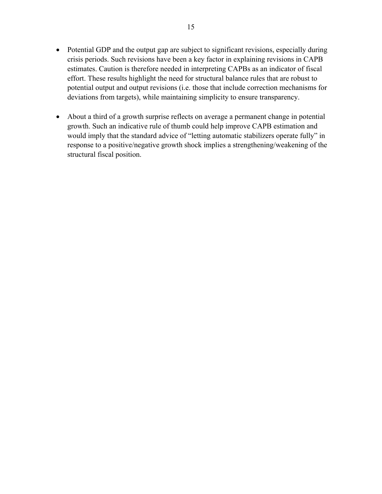- Potential GDP and the output gap are subject to significant revisions, especially during crisis periods. Such revisions have been a key factor in explaining revisions in CAPB estimates. Caution is therefore needed in interpreting CAPBs as an indicator of fiscal effort. These results highlight the need for structural balance rules that are robust to potential output and output revisions (i.e. those that include correction mechanisms for deviations from targets), while maintaining simplicity to ensure transparency.
- About a third of a growth surprise reflects on average a permanent change in potential growth. Such an indicative rule of thumb could help improve CAPB estimation and would imply that the standard advice of "letting automatic stabilizers operate fully" in response to a positive/negative growth shock implies a strengthening/weakening of the structural fiscal position.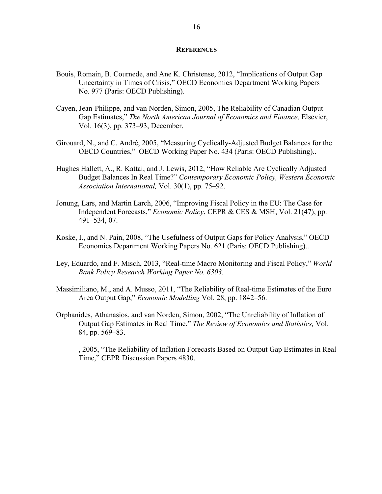#### **REFERENCES**

- Bouis, Romain, B. Cournede, and Ane K. Christense, 2012, "Implications of Output Gap Uncertainty in Times of Crisis," OECD Economics Department Working Papers No. 977 (Paris: OECD Publishing).
- Cayen, Jean-Philippe, and van Norden, Simon, 2005, The Reliability of Canadian Output-Gap Estimates," *The North American Journal of Economics and Finance,* Elsevier, Vol. 16(3), pp. 373–93, December.
- Girouard, N., and C. André, 2005, "Measuring Cyclically-Adjusted Budget Balances for the OECD Countries," OECD Working Paper No. 434 (Paris: OECD Publishing)..
- Hughes Hallett, A., R. Kattai, and J. Lewis, 2012, "How Reliable Are Cyclically Adjusted Budget Balances In Real Time?" *Contemporary Economic Policy, Western Economic Association International,* Vol. 30(1), pp. 75–92.
- Jonung, Lars, and Martin Larch, 2006, "Improving Fiscal Policy in the EU: The Case for Independent Forecasts," *Economic Policy*, CEPR & CES & MSH, Vol. 21(47), pp. 491–534, 07.
- Koske, I., and N. Pain, 2008, "The Usefulness of Output Gaps for Policy Analysis," OECD Economics Department Working Papers No. 621 (Paris: OECD Publishing)..
- Ley, Eduardo, and F. Misch, 2013, "Real-time Macro Monitoring and Fiscal Policy," *World Bank Policy Research Working Paper No. 6303.*
- Massimiliano, M., and A. Musso, 2011, "The Reliability of Real-time Estimates of the Euro Area Output Gap," *Economic Modelling* Vol. 28, pp. 1842–56.
- Orphanides, Athanasios, and van Norden, Simon, 2002, "The Unreliability of Inflation of Output Gap Estimates in Real Time," *The Review of Economics and Statistics,* Vol. 84, pp. 569–83.
- ———, 2005, "The Reliability of Inflation Forecasts Based on Output Gap Estimates in Real Time," CEPR Discussion Papers 4830.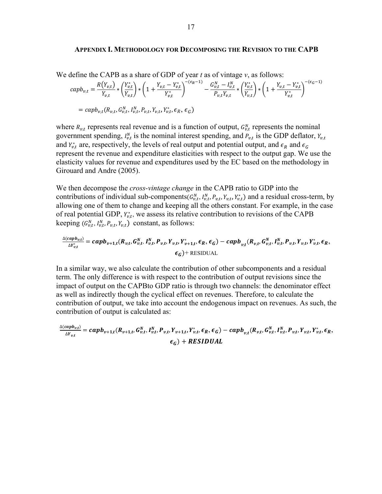#### **APPENDIX I. METHODOLOGY FOR DECOMPOSING THE REVISION TO THE CAPB**

We define the CAPB as a share of GDP of year *t* as of vintage *v*, as follows:

$$
capb_{v,t} = \frac{R(Y_{v,t})}{Y_{v,t}} * \left(\frac{Y_{v,t}^*}{Y_{v,t}}\right) * \left(1 + \frac{Y_{v,t} - Y_{v,t}^*}{Y_{v,t}^*}\right)^{-(\epsilon_R - 1)} - \frac{G_{v,t}^N - I_{v,t}^N}{P_{v,t}Y_{v,t}} * \left(\frac{Y_{v,t}^*}{Y_{v,t}}\right) * \left(1 + \frac{Y_{v,t} - Y_{v,t}^*}{Y_{v,t}^*}\right)^{-(\epsilon_G - 1)}
$$
  
=  $capb_{v,t}(R_{v,t}, G_{v,t}^N, I_{v,t}^N, P_{v,t}, Y_{v,t}, Y_{v,t}^*, \epsilon_R, \epsilon_G)$ 

where  $R_{v,t}$  represents real revenue and is a function of output,  $G_{v,t}^N$  represents the nominal government spending,  $I_{v,t}^N$  is the nominal interest spending, and  $P_{v,t}$  is the GDP deflator,  $Y_{v,t}$ and  $Y_{v,t}^*$  are, respectively, the levels of real output and potential output, and  $\epsilon_R$  and  $\epsilon_G$ represent the revenue and expenditure elasticities with respect to the output gap. We use the elasticity values for revenue and expenditures used by the EC based on the methodology in Girouard and Andre (2005).

We then decompose the *cross-vintage change* in the CAPB ratio to GDP into the contributions of individual sub-components $(G_{v,t}^N, I_{v,t}^N, P_{v,t}, Y_{v,t}, Y_{v,t}^*)$  and a residual cross-term, by allowing one of them to change and keeping all the others constant. For example, in the case of real potential GDP,  $Y_{v,t}^*$ , we assess its relative contribution to revisions of the CAPB keeping  $(G_{v,t}^N, I_{v,t}^N, P_{v,t}, Y_{v,t})$  constant, as follows:

$$
\frac{\Delta(capb_{v,t})}{\Delta Y_{v,t}^*} = capb_{v+1,t}(R_{v,t}, G_{v,t}^N, I_{v,t}^N, P_{v,t}, Y_{v,t}, Y_{v+1,t}^*, \epsilon_R, \epsilon_G) - capb_{v,t}(R_{v,t}, G_{v,t}^N, I_{v,t}^N, P_{v,t}, Y_{v,t}, Y_{v,t}^*, \epsilon_R, \epsilon_G)
$$
\n
$$
\epsilon_G) + \text{RESIDUAL}
$$

In a similar way, we also calculate the contribution of other subcomponents and a residual term. The only difference is with respect to the contribution of output revisions since the impact of output on the CAPBto GDP ratio is through two channels: the denominator effect as well as indirectly though the cyclical effect on revenues. Therefore, to calculate the contribution of output, we take into account the endogenous impact on revenues. As such, the contribution of output is calculated as:

$$
\frac{\Delta(capb_{v,t})}{\Delta Y_{v,t}} = capb_{v+1,t}(R_{v+1,t}, G_{v,t}^N, I_{v,t}^N, P_{v,t}, Y_{v+1,t}, Y_{v,t}^*, \epsilon_R, \epsilon_G) - capb_{v,t}(R_{v,t}, G_{v,t}^N, I_{v,t}^N, P_{v,t}, Y_{v,t}, Y_{v,t}^*, \epsilon_R, \epsilon_G) + RESULT_{L}
$$

 $\overline{a}$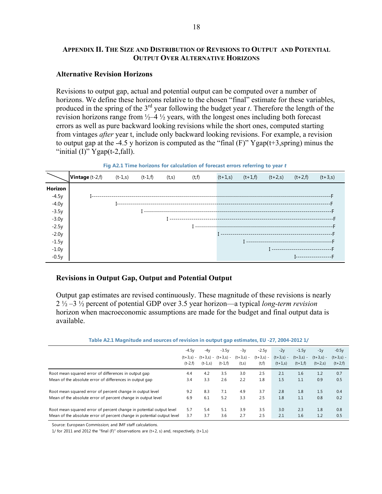## **APPENDIX II. THE SIZE AND DISTRIBUTION OF REVISIONS TO OUTPUT AND POTENTIAL OUTPUT OVER ALTERNATIVE HORIZONS**

#### **Alternative Revision Horizons**

Revisions to output gap, actual and potential output can be computed over a number of horizons. We define these horizons relative to the chosen "final" estimate for these variables, produced in the spring of the 3rd year following the budget year *t*. Therefore the length of the revision horizons range from  $\frac{1}{2} - 4 \frac{1}{2}$  years, with the longest ones including both forecast errors as well as pure backward looking revisions while the short ones, computed starting from vintages *after* year t, include only backward looking revisions. For example, a revision to output gap at the -4.5 y horizon is computed as the "final  $(F)$ " Ygap( $t+3$ , spring) minus the "initial  $(I)$ " Ygap(t-2,fall).



**Fig A2.1 Time horizons for calculation of forecast errors referring to year** *t*

## **Revisions in Output Gap, Output and Potential Output**

Output gap estimates are revised continuously. These magnitude of these revisions is nearly 2 ½ –3 ½ percent of potential GDP over 3.5 year horizon—a typical *long-term revision* horizon when macroeconomic assumptions are made for the budget and final output data is available.

| Table A2.1 Magnitude and sources of revision in output gap estimates, EU -27, 2004-2012 1/ |  |  |  |
|--------------------------------------------------------------------------------------------|--|--|--|
|                                                                                            |  |  |  |

|                                                                        | $-4.5v$<br>$(t-2,f)$ | -4v<br>$(t-1,s)$ | $-3.5v$<br>$(t+3,s) - (t+3,s) - (t+3,s) -$<br>$(t-1,f)$ | $-3y$<br>$(t+3,s) -$<br>(t,s) | $-2.5v$<br>$(t+3,s) -$<br>(t, f) | $-2y$<br>$(t+3,s) -$<br>$(t+1,s)$ | $-1.5v$<br>$(t+3,s) -$<br>$(t+1,f)$ | $-1y$<br>$(t+3,s) -$<br>$(t+2,s)$ | $-0.5v$<br>$(t+3,s)$ -<br>$(t+2,f)$ |
|------------------------------------------------------------------------|----------------------|------------------|---------------------------------------------------------|-------------------------------|----------------------------------|-----------------------------------|-------------------------------------|-----------------------------------|-------------------------------------|
| Root mean squared error of differences in output gap                   | 4.4                  | 4.2              | 3.5                                                     | 3.0                           | 2.5                              | 2.1                               | 1.6                                 | 1.2                               | 0.7                                 |
| Mean of the absolute error of differences in output gap                | 3.4                  | 3.3              | 2.6                                                     | 2.2                           | 1.8                              | 1.5                               | 1.1                                 | 0.9                               | 0.5                                 |
| Root mean squared error of percent change in output level              | 9.2                  | 8.3              | 7.1                                                     | 4.9                           | 3.7                              | 2.8                               | 1.8                                 | 1.5                               | 0.4                                 |
| Mean of the absolute error of percent change in output level           | 6.9                  | 6.1              | 5.2                                                     | 3.3                           | 2.5                              | 1.8                               | 1.1                                 | 0.8                               | 0.2                                 |
| Root mean squared error of percent change in potential output level    | 5.7                  | 5.4              | 5.1                                                     | 3.9                           | 3.5                              | 3.0                               | 2.3                                 | 1.8                               | 0.8                                 |
| Mean of the absolute error of percent change in potential output level | 3.7                  | 3.7              | 3.6                                                     | 2.7                           | 2.5                              | 2.1                               | 1.6                                 | 1.2                               | 0.5                                 |

Source: European Commission; and IMF staff calculations.

1/ for 2011 and 2012 the "final (F)" observations are  $(t+2, s)$  and, respectively,  $(t+1,s)$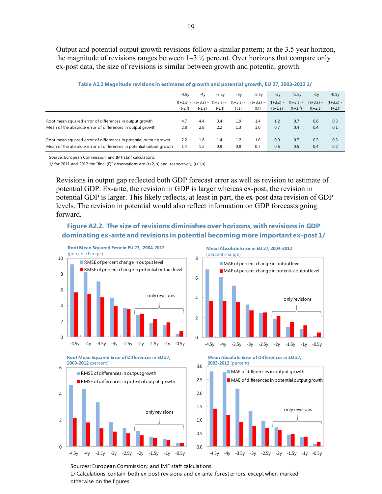Output and potential output growth revisions follow a similar pattern; at the 3.5 year horizon, the magnitude of revisions ranges between  $1-3\frac{1}{2}$  percent. Over horizons that compare only ex-post data, the size of revisions is similar between growth and potential growth.

|                                                                      | $-4.5v$   | $-4v$     | $-3.5v$                                      | $-3v$                | $-2.5v$               | $-2y$                    | $-1.5v$                  | $-1y$                    | $-0.5v$                  |
|----------------------------------------------------------------------|-----------|-----------|----------------------------------------------|----------------------|-----------------------|--------------------------|--------------------------|--------------------------|--------------------------|
|                                                                      | $(t-2,f)$ | $(t-1,s)$ | $(t+3,s) - (t+3,s) - (t+3,s) -$<br>$(t-1,f)$ | $(t+3,s) -$<br>(t,s) | $(t+3,s) -$<br>(t, f) | $(t+3,s) -$<br>$(t+1,s)$ | $(t+3,s) -$<br>$(t+1,f)$ | $(t+3,s) -$<br>$(t+2,s)$ | $(t+3,s) -$<br>$(t+2,f)$ |
| Root mean squared error of differences in output growth              | 4.7       | 4.4       | 3.4                                          | 1.9                  | 1.4                   | 1.2                      | 0.7                      | 0.6                      | 0.3                      |
| Mean of the absolute error of differences in output growth           | 2.8       | 2.8       | 2.2                                          | 1.3                  | 1.0                   | 0.7                      | 0.4                      | 0.4                      | 0.1                      |
| Root mean squared error of differences in potential output growth    | 2.2       | 1.8       | 1.4                                          | 1.2                  | 1.0                   | 0.9                      | 0.7                      | 0.5                      | 0.3                      |
| Mean of the absolute error of differences in potential output growth | 1.4       | 1.2       | 0.9                                          | 0.8                  | 0.7                   | 0.6                      | 0.5                      | 0.4                      | 0.2                      |

| Table A2.2 Magnitude revisions in estimates of growth and potential growth, EU 27, 2003-2012 1/ |  |  |
|-------------------------------------------------------------------------------------------------|--|--|
|                                                                                                 |  |  |

Source: European Commission; and IMF staff calculations.

1/ for 2011 and 2012 the "final (F)" observations are  $(t+2, s)$  and, respectively,  $(t+1,s)$ 

Revisions in output gap reflected both GDP forecast error as well as revision to estimate of potential GDP. Ex-ante, the revision in GDP is larger whereas ex-post, the revision in potential GDP is larger. This likely reflects, at least in part, the ex-post data revision of GDP levels. The revision in potential would also reflect information on GDP forecasts going forward.

## **Figure A2.2. The size of revisions diminishes over horizons, with revisions in GDP dominating ex-ante and revisions in potential becoming more important ex-post 1/**



**Mean Absolute Error in EU 27, 2004-2012**









Sources: European Commission; and IMF staff calculations.

1/ Calculations contain both ex-post revisions and ex-ante forest errors, except when marked otherwise on the figures.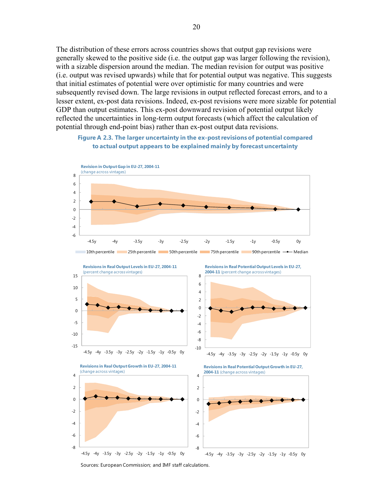The distribution of these errors across countries shows that output gap revisions were generally skewed to the positive side (i.e. the output gap was larger following the revision), with a sizable dispersion around the median. The median revision for output was positive (i.e. output was revised upwards) while that for potential output was negative. This suggests that initial estimates of potential were over optimistic for many countries and were subsequently revised down. The large revisions in output reflected forecast errors, and to a lesser extent, ex-post data revisions. Indeed, ex-post revisions were more sizable for potential GDP than output estimates. This ex-post downward revision of potential output likely reflected the uncertainties in long-term output forecasts (which affect the calculation of potential through end-point bias) rather than ex-post output data revisions.

#### **Figure A 2.3. The larger uncertainty in the ex-post revisions of potential compared to actual output appears to be explained mainly by forecast uncertainty**





Sources: European Commission; and IMF staff calculations.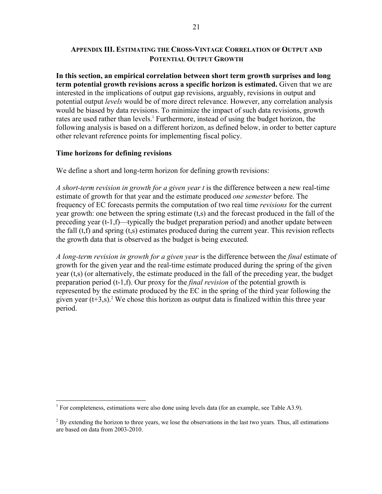## **APPENDIX III. ESTIMATING THE CROSS-VINTAGE CORRELATION OF OUTPUT AND POTENTIAL OUTPUT GROWTH**

**In this section, an empirical correlation between short term growth surprises and long term potential growth revisions across a specific horizon is estimated.** Given that we are interested in the implications of output gap revisions, arguably, revisions in output and potential output *levels* would be of more direct relevance. However, any correlation analysis would be biased by data revisions. To minimize the impact of such data revisions, growth rates are used rather than levels.<sup>1</sup> Furthermore, instead of using the budget horizon, the following analysis is based on a different horizon, as defined below, in order to better capture other relevant reference points for implementing fiscal policy.

## **Time horizons for defining revisions**

We define a short and long-term horizon for defining growth revisions:

*A short-term revision in growth for a given year t* is the difference between a new real-time estimate of growth for that year and the estimate produced *one semester* before. The frequency of EC forecasts permits the computation of two real time *revisions* for the current year growth: one between the spring estimate (t,s) and the forecast produced in the fall of the preceding year (t-1,f)—typically the budget preparation period) and another update between the fall (t,f) and spring (t,s) estimates produced during the current year. This revision reflects the growth data that is observed as the budget is being executed.

*A long-term revision in growth for a given year* is the difference between the *final* estimate of growth for the given year and the real-time estimate produced during the spring of the given year (t,s) (or alternatively, the estimate produced in the fall of the preceding year, the budget preparation period (t-1,f). Our proxy for the *final revision* of the potential growth is represented by the estimate produced by the EC in the spring of the third year following the given year  $(t+3,s)$ .<sup>2</sup> We chose this horizon as output data is finalized within this three year period.

<sup>&</sup>lt;sup>1</sup> For completeness, estimations were also done using levels data (for an example, see Table A3.9).

 $2^{2}$  By extending the horizon to three years, we lose the observations in the last two years. Thus, all estimations are based on data from 2003-2010.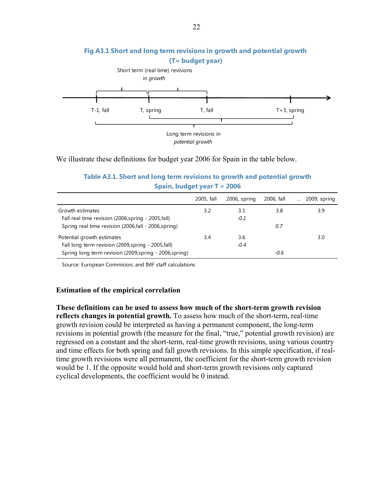

# **Fig A3.1 Short and long term revisions in growth and potential growth**

We illustrate these definitions for budget year 2006 for Spain in the table below.

## **Table A3.1. Short and long term revisions to growth and potential growth Spain, budget year T = 2006**

|                                                         | 2005, fall | 2006, spring | 2006, fall | 2009, spring |
|---------------------------------------------------------|------------|--------------|------------|--------------|
| Growth estimates                                        | 3.2        | 3.1          | 3.8        | 3.9          |
| Fall real time revision (2006, spring - 2005, fall)     |            | $-0.1$       |            |              |
| Spring real time revision (2006, fall - 2006, spring)   |            |              | 0.7        |              |
| Potential growth estimates                              | 3.4        | 3.6          |            | 3.0          |
| Fall long term revision (2009, spring - 2005, fall)     |            | $-0.4$       |            |              |
| Spring long term revision (2009, spring - 2006, spring) |            |              | $-0.6$     |              |

Source: European Commision; and IMF staff calculations

## **Estimation of the empirical correlation**

**These definitions can be used to assess how much of the short-term growth revision reflects changes in potential growth.** To assess how much of the short-term, real-time growth revision could be interpreted as having a permanent component, the long-term revisions in potential growth (the measure for the final, "true," potential growth revision) are regressed on a constant and the short-term, real-time growth revisions, using various country and time effects for both spring and fall growth revisions. In this simple specification, if realtime growth revisions were all permanent, the coefficient for the short-term growth revision would be 1. If the opposite would hold and short-term growth revisions only captured cyclical developments, the coefficient would be 0 instead.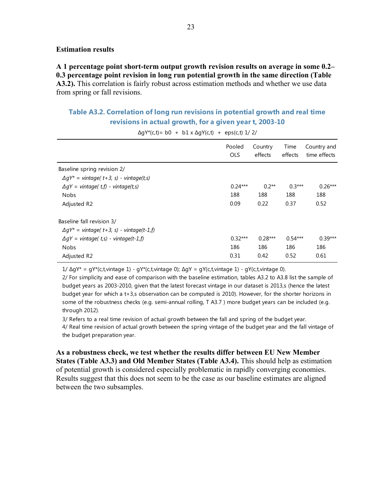#### **Estimation results**

**A 1 percentage point short-term output growth revision results on average in some 0.2– 0.3 percentage point revision in long run potential growth in the same direction (Table A3.2).** This correlation is fairly robust across estimation methods and whether we use data from spring or fall revisions.

## **Table A3.2. Correlation of long run revisions in potential growth and real time revisions in actual growth, for a given year t, 2003-10**

|                                                                                | Pooled     | Country   | Time      | Country and  |
|--------------------------------------------------------------------------------|------------|-----------|-----------|--------------|
|                                                                                | <b>OLS</b> | effects   | effects   | time effects |
| Baseline spring revision 2/<br>$\Delta qY^*$ = vintage( t+3, s) - vintage(t,s) |            |           |           |              |
| $\Delta qY$ = vintage(t,f) - vintage(t,s)                                      | $0.24***$  | $0.2**$   | $0.3***$  | $0.26***$    |
| <b>Nobs</b>                                                                    | 188        | 188       | 188       | 188          |
| Adjusted R2                                                                    | 0.09       | 0.22      | 0.37      | 0.52         |
| Baseline fall revision 3/<br>$\Delta qY^*$ = vintage( t+3, s) - vintage(t-1,f) |            |           |           |              |
| $\Delta qY = \text{vintage}(t,s) - \text{vintage}(t-1,f)$                      | $0.32***$  | $0.28***$ | $0.54***$ | $0.39***$    |
| <b>Nobs</b>                                                                    | 186        | 186       | 186       | 186          |
| Adjusted R2                                                                    | 0.31       | 0.42      | 0.52      | 0.61         |

 $\Delta$ gY\*(c,t)= b0 + b1 x  $\Delta$ gY(c,t) + eps(c,t) 1/ 2/

1/ ∆gY\* = gY\*(c,t,vintage 1) - gY\*(c,t,vintage 0); ∆gY = gY(c,t,vintage 1) - gY(c,t,vintage 0).

2/ For simplicity and ease of comparison with the baseline estimation, tables A3.2 to A3.8 list the sample of budget years as 2003-2010, given that the latest forecast vintage in our dataset is 2013,s (hence the latest budget year for which a t+3,s observation can be computed is 2010). However, for the shorter horizons in some of the robustness checks (e.g. semi-annual rolling, T A3.7 ) more budget years can be included (e.g. through 2012).

3/ Refers to a real time revision of actual growth between the fall and spring of the budget year.

4/ Real time revision of actual growth between the spring vintage of the budget year and the fall vintage of the budget preparation year.

**As a robustness check, we test whether the results differ between EU New Member States (Table A3.3) and Old Member States (Table A3.4).** This should help as estimation of potential growth is considered especially problematic in rapidly converging economies. Results suggest that this does not seem to be the case as our baseline estimates are aligned between the two subsamples.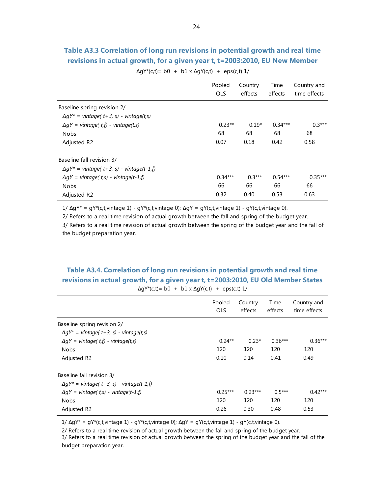## **Table A3.3 Correlation of long run revisions in potential growth and real time revisions in actual growth, for a given year t, t=2003:2010, EU New Member**

 $\Delta gY^*(c,t) = b0 + b1 \times \Delta gY(c,t) + eps(c,t) 1/$ 

|                                                           | Pooled<br><b>OLS</b> | Country<br>effects | Time<br>effects | Country and<br>time effects |
|-----------------------------------------------------------|----------------------|--------------------|-----------------|-----------------------------|
| Baseline spring revision 2/                               |                      |                    |                 |                             |
| $\Delta qY^*$ = vintage( t+3, s) - vintage(t,s)           |                      |                    |                 |                             |
| $\Delta qY$ = vintage( t,f) - vintage(t,s)                | $0.23**$             | $0.19*$            | $0.34***$       | $0.3***$                    |
| <b>Nobs</b>                                               | 68                   | 68                 | 68              | 68                          |
| Adjusted R2                                               | 0.07                 | 0.18               | 0.42            | 0.58                        |
| Baseline fall revision 3/                                 |                      |                    |                 |                             |
| $\Delta qY^*$ = vintage( t+3, s) - vintage(t-1,f)         |                      |                    |                 |                             |
| $\Delta qY = \text{vintage}(t,s) - \text{vintage}(t-1,f)$ | $0.34***$            | $0.3***$           | $0.54***$       | $0.35***$                   |
| <b>Nobs</b>                                               | 66                   | 66                 | 66              | 66                          |
| Adjusted R2                                               | 0.32                 | 0.40               | 0.53            | 0.63                        |

1/ ∆gY\* = gY\*(c,t,vintage 1) - gY\*(c,t,vintage 0); ∆gY = gY(c,t,vintage 1) - gY(c,t,vintage 0).

2/ Refers to a real time revision of actual growth between the fall and spring of the budget year.

3/ Refers to a real time revision of actual growth between the spring of the budget year and the fall of the budget preparation year.

## **Table A3.4. Correlation of long run revisions in potential growth and real time revisions in actual growth, for a given year t, t=2003:2010, EU Old Member States**

| $\Delta gY^*(c,t) = b0 + b1 \times \Delta gY(c,t) + eps(c,t) 1$ |  |  |
|-----------------------------------------------------------------|--|--|
|-----------------------------------------------------------------|--|--|

|                                                                                               | Pooled<br><b>OLS</b> | Country<br>effects | Time<br>effects | Country and<br>time effects |
|-----------------------------------------------------------------------------------------------|----------------------|--------------------|-----------------|-----------------------------|
| Baseline spring revision 2/                                                                   |                      |                    |                 |                             |
| $\Delta qY^*$ = vintage( t+3, s) - vintage(t,s)<br>$\Delta qY$ = vintage( t,f) - vintage(t,s) | $0.24**$             | $0.23*$            | $0.36***$       | $0.36***$                   |
| <b>Nobs</b>                                                                                   | 120                  | 120                | 120             | 120                         |
| Adjusted R2                                                                                   | 0.10                 | 0.14               | 0.41            | 0.49                        |
| Baseline fall revision 3/                                                                     |                      |                    |                 |                             |
| $\Delta qY^*$ = vintage( t+3, s) - vintage(t-1,f)                                             |                      |                    |                 |                             |
| $\Delta qY$ = vintage(t,s) - vintage(t-1,f)                                                   | $0.25***$            | $0.23***$          | $0.5***$        | $0.42***$                   |
| <b>Nobs</b>                                                                                   | 120                  | 120                | 120             | 120                         |
| Adjusted R2                                                                                   | 0.26                 | 0.30               | 0.48            | 0.53                        |

1/ ∆gY\* = gY\*(c,t,vintage 1) - gY\*(c,t,vintage 0); ∆gY = gY(c,t,vintage 1) - gY(c,t,vintage 0).

2/ Refers to a real time revision of actual growth between the fall and spring of the budget year. 3/ Refers to a real time revision of actual growth between the spring of the budget year and the fall of the budget preparation year.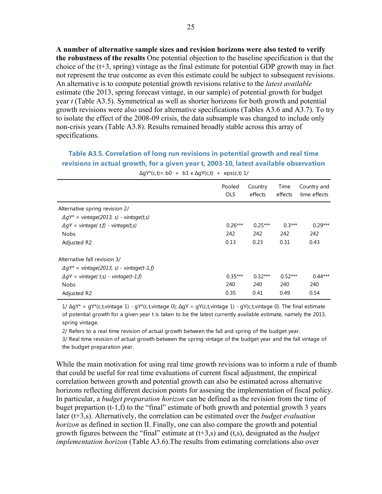**A number of alternative sample sizes and revision horizons were also tested to verify the robustness of the results** One potential objection to the baseline specification is that the choice of the (t+3, spring) vintage as the final estimate for potential GDP growth may in fact not represent the true outcome as even this estimate could be subject to subsequent revisions. An alternative is to compute potential growth revisions relative to the *latest available* estimate (the 2013, spring forecast vintage, in our sample) of potential growth for budget year *t* (Table A3.5). Symmetrical as well as shorter horizons for both growth and potential growth revisions were also used for alternative specifications (Tables A3.6 and A3.7). To try to isolate the effect of the 2008-09 crisis, the data subsample was changed to include only non-crisis years (Table A3.8). Results remained broadly stable across this array of specifications.

## **Table A3.5. Correlation of long run revisions in potential growth and real time revisions in actual growth, for a given year t, 2003-10, latest available observation**

|                                                                                   | Pooled<br><b>OLS</b> | Country<br>effects | Time<br>effects | Country and<br>time effects |  |
|-----------------------------------------------------------------------------------|----------------------|--------------------|-----------------|-----------------------------|--|
| Alternative spring revision 2/<br>$\Delta qY^*$ = vintage(2013, s) - vintage(t,s) |                      |                    |                 |                             |  |
| $\Delta qY =$ vintage( t, f) - vintage(t, s)                                      | $0.26***$            | $0.25***$          | $0.3***$        | $0.29***$                   |  |
| <b>Nobs</b>                                                                       | 242                  | 242                | 242             | 242                         |  |
| Adjusted R2                                                                       | 0.13                 | 0.23               | 0.31            | 0.43                        |  |
| Alternative fall revision 3/                                                      |                      |                    |                 |                             |  |
| $\Delta qY^*$ = vintage(2013, s) - vintage(t-1,f)                                 |                      |                    |                 |                             |  |
| $\Delta qY =$ vintage( t,s) - vintage(t-1,f)                                      | $0.35***$            | $0.32***$          | $0.52***$       | $0.44***$                   |  |
| <b>Nobs</b>                                                                       | 240                  | 240                | 240             | 240                         |  |
| Adjusted R2                                                                       | 0.35                 | 0.41               | 0.49            | 0.54                        |  |
|                                                                                   |                      |                    |                 |                             |  |

 $\Delta qY^*(c,t) = b0 + b1 \times \Delta qY(c,t) + eps(c,t)1$ 

1/ ∆gY\* = gY\*(c,t,vintage 1) - gY\*(c,t,vintage 0); ∆gY = gY(c,t,vintage 1) - gY(c,t,vintage 0). The final estimate of potential growth for a given year t is taken to be the latest currently available estimate, namely the 2013, spring vintage.

2/ Refers to a real time revision of actual growth between the fall and spring of the budget year.

3/ Real time revision of actual growth between the spring vintage of the budget year and the fall vintage of the budget preparation year.

While the main motivation for using real time growth revisions was to inform a rule of thumb that could be useful for real time evaluations of current fiscal adjustment, the empirical correlation between growth and potential growth can also be estimated across alternative horizons reflecting different decision points for assesing the implementation of fiscal policy. In particular, a *budget preparation horizon* can be defined as the revision from the time of buget prepartion (t-1,f) to the "final" estimate of both growth and potential growth 3 years later (t+3,s). Alternatively, the correlation can be estimated over the *budget evaluation horizon* as defined in section II. Finally, one can also compare the growth and potential growth figures between the "final" estimate at (t+3,s) and (t,s), designated as the *budget implementation horizon* (Table A3.6). The results from estimating correlations also over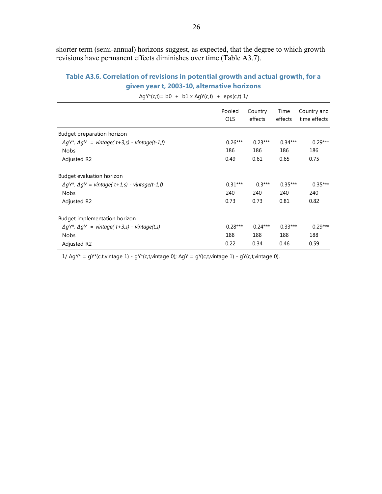shorter term (semi-annual) horizons suggest, as expected, that the degree to which growth revisions have permanent effects diminishes over time (Table A3.7).

## **Table A3.6. Correlation of revisions in potential growth and actual growth, for a given year t, 2003-10, alternative horizons**

|                                                                           | Pooled<br>OLS | Country<br>effects | Time<br>effects | Country and<br>time effects |
|---------------------------------------------------------------------------|---------------|--------------------|-----------------|-----------------------------|
| Budget preparation horizon                                                |               |                    |                 |                             |
| $\Delta qY^*$ , $\Delta qY =$ vintage( t+3,s) - vintage(t-1,f)            | $0.26***$     | $0.23***$          | $0.34***$       | $0.29***$                   |
| <b>Nobs</b>                                                               | 186           | 186                | 186             | 186                         |
| Adjusted R2                                                               | 0.49          | 0.61               | 0.65            | 0.75                        |
| Budget evaluation horizon                                                 |               |                    |                 |                             |
| $\Delta qY^*$ , $\Delta qY$ = vintage( t + 1,s) - vintage(t-1,f)          | $0.31***$     | $0.3***$           | $0.35***$       | $0.35***$                   |
| <b>Nobs</b>                                                               | 240           | 240                | 240             | 240                         |
| Adjusted R2                                                               | 0.73          | 0.73               | 0.81            | 0.82                        |
| Budget implementation horizon                                             |               |                    |                 |                             |
| $\Delta qY^*$ , $\Delta qY = \text{vintage}(t+3,s) - \text{vintage}(t,s)$ | $0.28***$     | $0.24***$          | $0.33***$       | $0.29***$                   |
| <b>Nobs</b>                                                               | 188           | 188                | 188             | 188                         |
| Adjusted R2                                                               | 0.22          | 0.34               | 0.46            | 0.59                        |

 $\Delta$ gY\*(c,t)= b0 + b1 x  $\Delta$ gY(c,t) + eps(c,t) 1/

1/ ∆gY\* = gY\*(c,t,vintage 1) - gY\*(c,t,vintage 0); ∆gY = gY(c,t,vintage 1) - gY(c,t,vintage 0).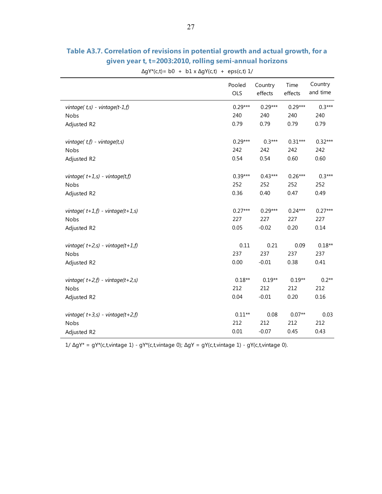|                                           | Pooled<br>OLS | Country<br>effects | Time<br>effects | Country<br>and time |
|-------------------------------------------|---------------|--------------------|-----------------|---------------------|
| vintage( $t,s$ ) - vintage( $t$ -1, $f$ ) | $0.29***$     | $0.29***$          | $0.29***$       | $0.3***$            |
| Nobs                                      | 240           | 240                | 240             | 240                 |
| Adjusted R2                               | 0.79          | 0.79               | 0.79            | 0.79                |
| vintage $(t, f)$ - vintage $(t, s)$       | $0.29***$     | $0.3***$           | $0.31***$       | $0.32***$           |
| Nobs                                      | 242           | 242                | 242             | 242                 |
| Adjusted R2                               | 0.54          | 0.54               | 0.60            | 0.60                |
| vintage( $t+1$ ,s) - vintage( $t$ ,f)     | $0.39***$     | $0.43***$          | $0.26***$       | $0.3***$            |
| <b>Nobs</b>                               | 252           | 252                | 252             | 252                 |
| Adjusted R2                               | 0.36          | 0.40               | 0.47            | 0.49                |
| vintage( $t+1,f$ ) - vintage( $t+1,s$ )   | $0.27***$     | $0.29***$          | $0.24***$       | $0.27***$           |
| Nobs                                      | 227           | 227                | 227             | 227                 |
| Adjusted R2                               | 0.05          | $-0.02$            | 0.20            | 0.14                |
| vintage( $t+2$ , s) - vintage( $t+1$ , f) | 0.11          | 0.21               | 0.09            | $0.18**$            |
| Nobs                                      | 237           | 237                | 237             | 237                 |
| Adjusted R2                               | 0.00          | $-0.01$            | 0.38            | 0.41                |
| vintage( $t+2,f$ ) - vintage( $t+2,s$ )   | $0.18**$      | $0.19**$           | $0.19**$        | $0.2**$             |
| Nobs                                      | 212           | 212                | 212             | 212                 |
| Adjusted R2                               | 0.04          | $-0.01$            | 0.20            | 0.16                |
| vintage( $t+3$ , s) - vintage( $t+2$ , f) | $0.11**$      | 0.08               | $0.07**$        | 0.03                |
| Nobs                                      | 212           | 212                | 212             | 212                 |
| Adjusted R2                               | 0.01          | $-0.07$            | 0.45            | 0.43                |

## **Table A3.7. Correlation of revisions in potential growth and actual growth, for a given year t, t=2003:2010, rolling semi-annual horizons**

 $\Delta gY^*(c,t) = b0 + b1 \times \Delta gY(c,t) + eps(c,t) 1/$ 

1/ ∆gY\* = gY\*(c,t,vintage 1) - gY\*(c,t,vintage 0); ∆gY = gY(c,t,vintage 1) - gY(c,t,vintage 0).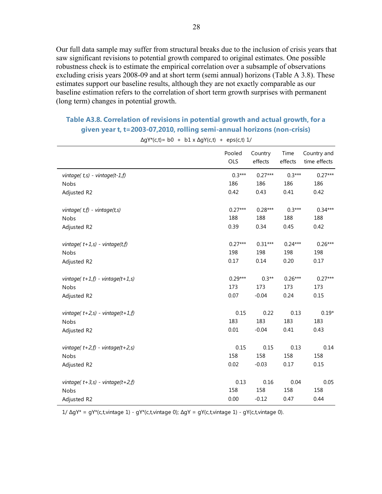Our full data sample may suffer from structural breaks due to the inclusion of crisis years that saw significant revisions to potential growth compared to original estimates. One possible robustness check is to estimate the empirical correlation over a subsample of observations excluding crisis years 2008-09 and at short term (semi annual) horizons (Table A 3.8). These estimates support our baseline results, although they are not exactly comparable as our baseline estimation refers to the correlation of short term growth surprises with permanent (long term) changes in potential growth.

## **Table A3.8. Correlation of revisions in potential growth and actual growth, for a given year t, t=2003-07,2010, rolling semi-annual horizons (non-crisis)**

|                                           | Pooled<br>OLS | Country<br>effects | Time<br>effects | Country and<br>time effects |
|-------------------------------------------|---------------|--------------------|-----------------|-----------------------------|
| vintage $(t, s)$ - vintage $(t-1, f)$     | $0.3***$      | $0.27***$          | $0.3***$        | $0.27***$                   |
| Nobs                                      | 186           | 186                | 186             | 186                         |
| Adjusted R2                               | 0.42          | 0.43               | 0.41            | 0.42                        |
| vintage $(t, f)$ - vintage $(t, s)$       | $0.27***$     | $0.28***$          | $0.3***$        | $0.34***$                   |
| Nobs                                      | 188           | 188                | 188             | 188                         |
| Adjusted R2                               | 0.39          | 0.34               | 0.45            | 0.42                        |
| vintage( $t+1$ ,s) - vintage( $t$ ,f)     | $0.27***$     | $0.31***$          | $0.24***$       | $0.26***$                   |
| <b>Nobs</b>                               | 198           | 198                | 198             | 198                         |
| Adjusted R2                               | 0.17          | 0.14               | 0.20            | 0.17                        |
| vintage( $t+1,f$ ) - vintage( $t+1,s$ )   | $0.29***$     | $0.3**$            | $0.26***$       | $0.27***$                   |
| Nobs                                      | 173           | 173                | 173             | 173                         |
| Adjusted R2                               | 0.07          | $-0.04$            | 0.24            | 0.15                        |
| vintage( $t+2$ , s) - vintage( $t+1$ , f) | 0.15          | 0.22               | 0.13            | $0.19*$                     |
| Nobs                                      | 183           | 183                | 183             | 183                         |
| Adjusted R2                               | 0.01          | $-0.04$            | 0.41            | 0.43                        |
| vintage( $t+2,f$ ) - vintage( $t+2,s$ )   | 0.15          | 0.15               | 0.13            | 0.14                        |
| Nobs                                      | 158           | 158                | 158             | 158                         |
| Adjusted R2                               | 0.02          | $-0.03$            | 0.17            | 0.15                        |
| vintage( $t+3$ , s) - vintage( $t+2$ , f) | 0.13          | 0.16               | 0.04            | 0.05                        |
| Nobs                                      | 158           | 158                | 158             | 158                         |
| Adjusted R2                               | 0.00          | $-0.12$            | 0.47            | 0.44                        |

 $\Delta$ gY\*(c,t)= b0 + b1 x  $\Delta$ gY(c,t) + eps(c,t) 1/

1/ ∆gY\* = gY\*(c,t,vintage 1) - gY\*(c,t,vintage 0); ∆gY = gY(c,t,vintage 1) - gY(c,t,vintage 0).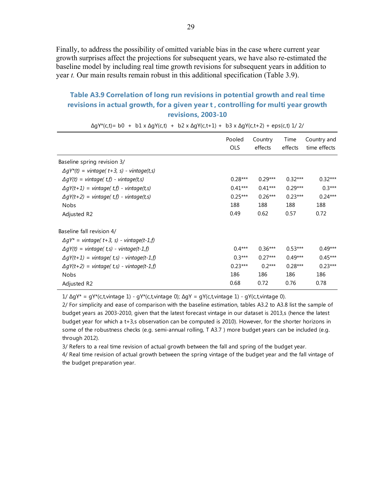Finally, to address the possibility of omitted variable bias in the case where current year growth surprises affect the projections for subsequent years, we have also re-estimated the baseline model by including real time growth revisions for subsequent years in addition to year *t.* Our main results remain robust in this additional specification (Table 3.9).

## **Table A3.9 Correlation of long run revisions in potential growth and real time revisions in actual growth, for a given year t , controlling for multi year growth revisions, 2003-10**

Pooled **Country** Time  $\Delta qY^*(c,t) = b0 + b1 \times \Delta qY(c,t) + b2 \times \Delta qY(c,t+1) + b3 \times \Delta qY(c,t+2) + eps(c,t) 1/2/$ 

|                                                    | Pooled<br>Country | Time      | Country and |              |
|----------------------------------------------------|-------------------|-----------|-------------|--------------|
|                                                    | <b>OLS</b>        | effects   | effects     | time effects |
| Baseline spring revision 3/                        |                   |           |             |              |
| $\Delta gY^*(t)$ = vintage( t+3, s) - vintage(t,s) |                   |           |             |              |
| $\Delta gY(t)$ = vintage(t,f) - vintage(t,s)       | $0.28***$         | $0.29***$ | $0.32***$   | $0.32***$    |
| $\Delta gY(t+1)$ = vintage(t,f) - vintage(t,s)     | $0.41***$         | $0.41***$ | $0.29***$   | $0.3***$     |
| $\Delta gY(t+2)$ = vintage(t,f) - vintage(t,s)     | $0.25***$         | $0.26***$ | $0.23***$   | $0.24***$    |
| <b>Nobs</b>                                        | 188               | 188       | 188         | 188          |
| Adjusted R2                                        | 0.49              | 0.62      | 0.57        | 0.72         |
| Baseline fall revision 4/                          |                   |           |             |              |
| $\Delta gY^*$ = vintage( t+3, s) - vintage(t-1,f)  |                   |           |             |              |
| $\Delta gY(t)$ = vintage(t,s) - vintage(t-1,f)     | $0.4***$          | $0.36***$ | $0.53***$   | $0.49***$    |
| $\Delta gY(t+1)$ = vintage(t,s) - vintage(t-1,f)   | $0.3***$          | $0.27***$ | $0.49***$   | $0.45***$    |
| $\Delta gY(t+2)$ = vintage(t,s) - vintage(t-1,f)   | $0.23***$         | $0.2***$  | $0.28***$   | $0.23***$    |
| Nobs                                               | 186               | 186       | 186         | 186          |
| Adjusted R2                                        | 0.68              | 0.72      | 0.76        | 0.78         |

1/ ∆gY\* = gY\*(c,t,vintage 1) - gY\*(c,t,vintage 0); ∆gY = gY(c,t,vintage 1) - gY(c,t,vintage 0).

2/ For simplicity and ease of comparison with the baseline estimation, tables A3.2 to A3.8 list the sample of budget years as 2003-2010, given that the latest forecast vintage in our dataset is 2013,s (hence the latest budget year for which a t+3,s observation can be computed is 2010). However, for the shorter horizons in some of the robustness checks (e.g. semi-annual rolling, T A3.7 ) more budget years can be included (e.g. through 2012).

3/ Refers to a real time revision of actual growth between the fall and spring of the budget year.

4/ Real time revision of actual growth between the spring vintage of the budget year and the fall vintage of the budget preparation year.